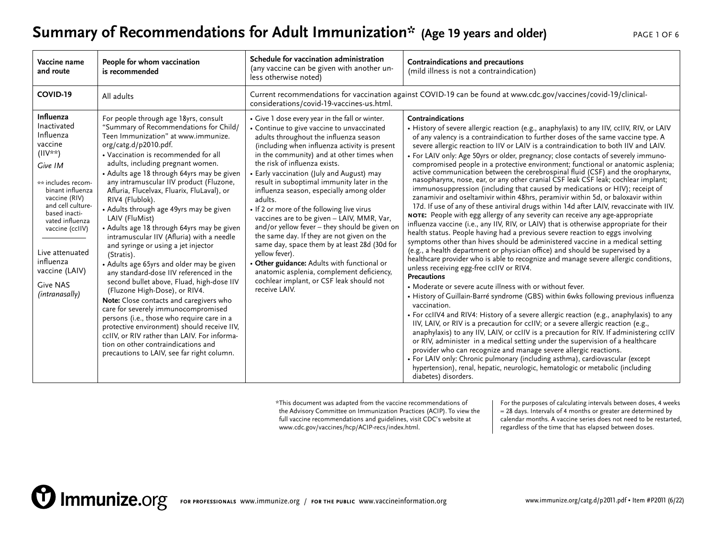#### **Summary of Recommendations for Adult Immunization\*** (Age 19 years and older) PAGE 1 OF 6

| Vaccine name<br>and route                                                                                                                                                                                                                                                                              | People for whom vaccination<br>is recommended                                                                                                                                                                                                                                                                                                                                                                                                                                                                                                                                                                                                                                                                                                                                                                                                                                                                                                                                                                                                                                                 | Schedule for vaccination administration<br>(any vaccine can be given with another un-<br>less otherwise noted)                                                                                                                                                                                                                                                                                                                                                                                                                                                                                                                                                                                                                                                                                                                                  | Contraindications and precautions<br>(mild illness is not a contraindication)                                                                                                                                                                                                                                                                                                                                                                                                                                                                                                                                                                                                                                                                                                                                                                                                                                                                                                                                                                                                                                                                                                                                                                                                                                                                                                                                                                                                                                                                                                                                                                                                                                                                                                                                                                                                                                                                                                                                                                                                                                                                                                                                                                                                              |
|--------------------------------------------------------------------------------------------------------------------------------------------------------------------------------------------------------------------------------------------------------------------------------------------------------|-----------------------------------------------------------------------------------------------------------------------------------------------------------------------------------------------------------------------------------------------------------------------------------------------------------------------------------------------------------------------------------------------------------------------------------------------------------------------------------------------------------------------------------------------------------------------------------------------------------------------------------------------------------------------------------------------------------------------------------------------------------------------------------------------------------------------------------------------------------------------------------------------------------------------------------------------------------------------------------------------------------------------------------------------------------------------------------------------|-------------------------------------------------------------------------------------------------------------------------------------------------------------------------------------------------------------------------------------------------------------------------------------------------------------------------------------------------------------------------------------------------------------------------------------------------------------------------------------------------------------------------------------------------------------------------------------------------------------------------------------------------------------------------------------------------------------------------------------------------------------------------------------------------------------------------------------------------|--------------------------------------------------------------------------------------------------------------------------------------------------------------------------------------------------------------------------------------------------------------------------------------------------------------------------------------------------------------------------------------------------------------------------------------------------------------------------------------------------------------------------------------------------------------------------------------------------------------------------------------------------------------------------------------------------------------------------------------------------------------------------------------------------------------------------------------------------------------------------------------------------------------------------------------------------------------------------------------------------------------------------------------------------------------------------------------------------------------------------------------------------------------------------------------------------------------------------------------------------------------------------------------------------------------------------------------------------------------------------------------------------------------------------------------------------------------------------------------------------------------------------------------------------------------------------------------------------------------------------------------------------------------------------------------------------------------------------------------------------------------------------------------------------------------------------------------------------------------------------------------------------------------------------------------------------------------------------------------------------------------------------------------------------------------------------------------------------------------------------------------------------------------------------------------------------------------------------------------------------------------------------------------------|
| COVID-19                                                                                                                                                                                                                                                                                               | All adults                                                                                                                                                                                                                                                                                                                                                                                                                                                                                                                                                                                                                                                                                                                                                                                                                                                                                                                                                                                                                                                                                    | Current recommendations for vaccination against COVID-19 can be found at www.cdc.gov/vaccines/covid-19/clinical-<br>considerations/covid-19-vaccines-us.html.                                                                                                                                                                                                                                                                                                                                                                                                                                                                                                                                                                                                                                                                                   |                                                                                                                                                                                                                                                                                                                                                                                                                                                                                                                                                                                                                                                                                                                                                                                                                                                                                                                                                                                                                                                                                                                                                                                                                                                                                                                                                                                                                                                                                                                                                                                                                                                                                                                                                                                                                                                                                                                                                                                                                                                                                                                                                                                                                                                                                            |
| Influenza<br>Inactivated<br>Influenza<br>vaccine<br>$(IIV**)$<br>Give IM<br>** includes recom-<br>binant influenza<br>vaccine (RIV)<br>and cell culture-<br>based inacti-<br>vated influenza<br>vaccine (cclIV)<br>Live attenuated<br>influenza<br>vaccine (LAIV)<br><b>Give NAS</b><br>(intranasally) | For people through age 18yrs, consult<br>"Summary of Recommendations for Child/<br>Teen Immunization" at www.immunize.<br>org/catg.d/p2010.pdf.<br>• Vaccination is recommended for all<br>adults, including pregnant women.<br>• Adults age 18 through 64yrs may be given<br>any intramuscular IIV product (Fluzone,<br>Afluria, Flucelvax, Fluarix, FluLaval), or<br>RIV4 (Flublok).<br>• Adults through age 49yrs may be given<br>LAIV (FluMist)<br>• Adults age 18 through 64yrs may be given<br>intramuscular IIV (Afluria) with a needle<br>and syringe or using a jet injector<br>(Stratis).<br>• Adults age 65yrs and older may be given<br>any standard-dose IIV referenced in the<br>second bullet above, Fluad, high-dose IIV<br>(Fluzone High-Dose), or RIV4.<br>Note: Close contacts and caregivers who<br>care for severely immunocompromised<br>persons (i.e., those who require care in a<br>protective environment) should receive IIV,<br>ccIIV, or RIV rather than LAIV. For informa-<br>tion on other contraindications and<br>precautions to LAIV, see far right column. | • Give 1 dose every year in the fall or winter.<br>• Continue to give vaccine to unvaccinated<br>adults throughout the influenza season<br>(including when influenza activity is present<br>in the community) and at other times when<br>the risk of influenza exists.<br>• Early vaccination (July and August) may<br>result in suboptimal immunity later in the<br>influenza season, especially among older<br>adults.<br>• If 2 or more of the following live virus<br>vaccines are to be given - LAIV, MMR, Var,<br>and/or yellow fever - they should be given on<br>the same day. If they are not given on the<br>same day, space them by at least 28d (30d for<br>yellow fever).<br>• Other guidance: Adults with functional or<br>anatomic asplenia, complement deficiency,<br>cochlear implant, or CSF leak should not<br>receive LAIV. | Contraindications<br>• History of severe allergic reaction (e.g., anaphylaxis) to any IIV, ccIIV, RIV, or LAIV<br>of any valency is a contraindication to further doses of the same vaccine type. A<br>severe allergic reaction to IIV or LAIV is a contraindication to both IIV and LAIV.<br>• For LAIV only: Age 50yrs or older, pregnancy; close contacts of severely immuno-<br>compromised people in a protective environment; functional or anatomic asplenia;<br>active communication between the cerebrospinal fluid (CSF) and the oropharynx,<br>nasopharynx, nose, ear, or any other cranial CSF leak CSF leak; cochlear implant;<br>immunosuppression (including that caused by medications or HIV); receipt of<br>zanamivir and oseltamivir within 48hrs, peramivir within 5d, or baloxavir within<br>17d. If use of any of these antiviral drugs within 14d after LAIV, revaccinate with IIV.<br>NOTE: People with egg allergy of any severity can receive any age-appropriate<br>influenza vaccine (i.e., any IIV, RIV, or LAIV) that is otherwise appropriate for their<br>health status. People having had a previous severe reaction to eggs involving<br>symptoms other than hives should be administered vaccine in a medical setting<br>(e.g., a health department or physician office) and should be supervised by a<br>healthcare provider who is able to recognize and manage severe allergic conditions,<br>unless receiving egg-free cclIV or RIV4.<br>Precautions<br>• Moderate or severe acute illness with or without fever.<br>• History of Guillain-Barré syndrome (GBS) within 6wks following previous influenza<br>vaccination.<br>• For ccIIV4 and RIV4: History of a severe allergic reaction (e.g., anaphylaxis) to any<br>IIV, LAIV, or RIV is a precaution for ccIIV; or a severe allergic reaction (e.g.,<br>anaphylaxis) to any IIV, LAIV, or ccIIV is a precaution for RIV. If administering ccIIV<br>or RIV, administer in a medical setting under the supervision of a healthcare<br>provider who can recognize and manage severe allergic reactions.<br>• For LAIV only: Chronic pulmonary (including asthma), cardiovascular (except<br>hypertension), renal, hepatic, neurologic, hematologic or metabolic (including<br>diabetes) disorders. |

\*This document was adapted from the vaccine recommendations of the Advisory Committee on Immunization Practices (ACIP). To view the full vaccine recommendations and guidelines, visit CDC's website at [www.cdc.gov/vaccines/hcp/ACIP-recs/index.html](http://www.cdc.gov/vaccines/hcp/ACIP-recs/index.html).

For the purposes of calculating intervals between doses, 4 weeks = 28 days. Intervals of 4 months or greater are determined by calendar months. A vaccine series does not need to be restarted, regardless of the time that has elapsed between doses.

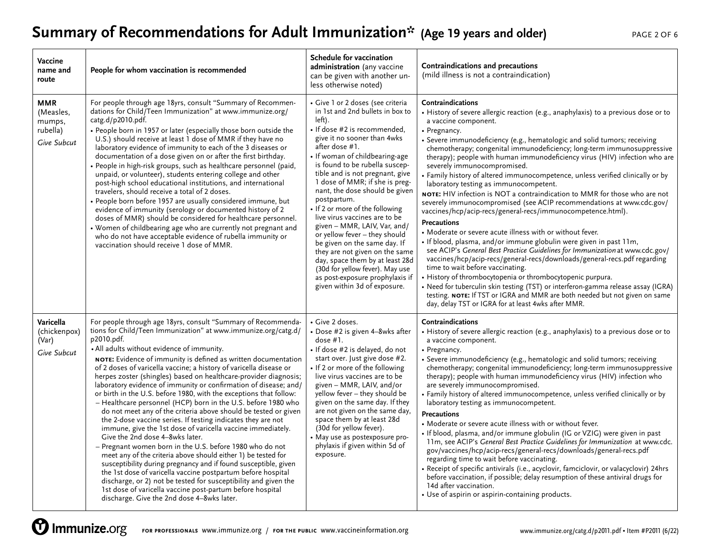# **Summary of Recommendations for Adult Immunization\*** (Age 19 years and older) PAGE 2 OF 6

| Vaccine<br>name and<br>route                                 | People for whom vaccination is recommended                                                                                                                                                                                                                                                                                                                                                                                                                                                                                                                                                                                                                                                                                                                                                                                                                                                                                                                                                                                                                                                                                                                                                                                                                                                            | Schedule for vaccination<br>administration (any vaccine<br>can be given with another un-<br>less otherwise noted)                                                                                                                                                                                                                                                                                                                                                                                                                                                                                                                                                                                          | Contraindications and precautions<br>(mild illness is not a contraindication)                                                                                                                                                                                                                                                                                                                                                                                                                                                                                                                                                                                                                                                                                                                                                                                                                                                                                                                                                                                                                                                                                                                                                                                                                                                                                                                                         |
|--------------------------------------------------------------|-------------------------------------------------------------------------------------------------------------------------------------------------------------------------------------------------------------------------------------------------------------------------------------------------------------------------------------------------------------------------------------------------------------------------------------------------------------------------------------------------------------------------------------------------------------------------------------------------------------------------------------------------------------------------------------------------------------------------------------------------------------------------------------------------------------------------------------------------------------------------------------------------------------------------------------------------------------------------------------------------------------------------------------------------------------------------------------------------------------------------------------------------------------------------------------------------------------------------------------------------------------------------------------------------------|------------------------------------------------------------------------------------------------------------------------------------------------------------------------------------------------------------------------------------------------------------------------------------------------------------------------------------------------------------------------------------------------------------------------------------------------------------------------------------------------------------------------------------------------------------------------------------------------------------------------------------------------------------------------------------------------------------|-----------------------------------------------------------------------------------------------------------------------------------------------------------------------------------------------------------------------------------------------------------------------------------------------------------------------------------------------------------------------------------------------------------------------------------------------------------------------------------------------------------------------------------------------------------------------------------------------------------------------------------------------------------------------------------------------------------------------------------------------------------------------------------------------------------------------------------------------------------------------------------------------------------------------------------------------------------------------------------------------------------------------------------------------------------------------------------------------------------------------------------------------------------------------------------------------------------------------------------------------------------------------------------------------------------------------------------------------------------------------------------------------------------------------|
| <b>MMR</b><br>(Measles,<br>mumps,<br>rubella)<br>Give Subcut | For people through age 18yrs, consult "Summary of Recommen-<br>dations for Child/Teen Immunization" at www.immunize.org/<br>catg.d/p2010.pdf.<br>• People born in 1957 or later (especially those born outside the<br>U.S.) should receive at least 1 dose of MMR if they have no<br>laboratory evidence of immunity to each of the 3 diseases or<br>documentation of a dose given on or after the first birthday.<br>· People in high-risk groups, such as healthcare personnel (paid,<br>unpaid, or volunteer), students entering college and other<br>post-high school educational institutions, and international<br>travelers, should receive a total of 2 doses.<br>• People born before 1957 are usually considered immune, but<br>evidence of immunity (serology or documented history of 2<br>doses of MMR) should be considered for healthcare personnel.<br>• Women of childbearing age who are currently not pregnant and<br>who do not have acceptable evidence of rubella immunity or<br>vaccination should receive 1 dose of MMR.                                                                                                                                                                                                                                                      | • Give 1 or 2 doses (see criteria<br>in 1st and 2nd bullets in box to<br>left).<br>• If dose #2 is recommended,<br>give it no sooner than 4wks<br>after dose #1.<br>• If woman of childbearing-age<br>is found to be rubella suscep-<br>tible and is not pregnant, give<br>1 dose of MMR; if she is preg-<br>nant, the dose should be given<br>postpartum.<br>• If 2 or more of the following<br>live virus vaccines are to be<br>given - MMR, LAIV, Var, and/<br>or yellow fever - they should<br>be given on the same day. If<br>they are not given on the same<br>day, space them by at least 28d<br>(30d for yellow fever). May use<br>as post-exposure prophylaxis if<br>given within 3d of exposure. | Contraindications<br>• History of severe allergic reaction (e.g., anaphylaxis) to a previous dose or to<br>a vaccine component.<br>• Pregnancy.<br>• Severe immunodeficiency (e.g., hematologic and solid tumors; receiving<br>chemotherapy; congenital immunodeficiency; long-term immunosuppressive<br>therapy); people with human immunodeficiency virus (HIV) infection who are<br>severely immunocompromised.<br>• Family history of altered immunocompetence, unless verified clinically or by<br>laboratory testing as immunocompetent.<br>NOTE: HIV infection is NOT a contraindication to MMR for those who are not<br>severely immunocompromised (see ACIP recommendations at www.cdc.gov/<br>vaccines/hcp/acip-recs/general-recs/immunocompetence.html).<br><b>Precautions</b><br>• Moderate or severe acute illness with or without fever.<br>. If blood, plasma, and/or immune globulin were given in past 11m,<br>see ACIP's General Best Practice Guidelines for Immunization at www.cdc.gov/<br>vaccines/hcp/acip-recs/general-recs/downloads/general-recs.pdf regarding<br>time to wait before vaccinating.<br>• History of thrombocytopenia or thrombocytopenic purpura.<br>• Need for tuberculin skin testing (TST) or interferon-gamma release assay (IGRA)<br>testing. NOTE: If TST or IGRA and MMR are both needed but not given on same<br>day, delay TST or IGRA for at least 4wks after MMR. |
| Varicella<br>(chickenpox)<br>(Var)<br>Give Subcut            | For people through age 18yrs, consult "Summary of Recommenda-<br>tions for Child/Teen Immunization" at www.immunize.org/catg.d/<br>p2010.pdf.<br>• All adults without evidence of immunity.<br>NOTE: Evidence of immunity is defined as written documentation<br>of 2 doses of varicella vaccine; a history of varicella disease or<br>herpes zoster (shingles) based on healthcare-provider diagnosis;<br>laboratory evidence of immunity or confirmation of disease; and/<br>or birth in the U.S. before 1980, with the exceptions that follow:<br>- Healthcare personnel (HCP) born in the U.S. before 1980 who<br>do not meet any of the criteria above should be tested or given<br>the 2-dose vaccine series. If testing indicates they are not<br>immune, give the 1st dose of varicella vaccine immediately.<br>Give the 2nd dose 4-8wks later.<br>- Pregnant women born in the U.S. before 1980 who do not<br>meet any of the criteria above should either 1) be tested for<br>susceptibility during pregnancy and if found susceptible, given<br>the 1st dose of varicella vaccine postpartum before hospital<br>discharge, or 2) not be tested for susceptibility and given the<br>1st dose of varicella vaccine post-partum before hospital<br>discharge. Give the 2nd dose 4-8wks later. | • Give 2 doses.<br>• Dose #2 is given 4-8wks after<br>dose #1.<br>• If dose #2 is delayed, do not<br>start over. Just give dose #2.<br>• If 2 or more of the following<br>live virus vaccines are to be<br>given - MMR, LAIV, and/or<br>yellow fever - they should be<br>given on the same day. If they<br>are not given on the same day,<br>space them by at least 28d<br>(30d for yellow fever).<br>• May use as postexposure pro-<br>phylaxis if given within 5d of<br>exposure.                                                                                                                                                                                                                        | Contraindications<br>• History of severe allergic reaction (e.g., anaphylaxis) to a previous dose or to<br>a vaccine component.<br>• Pregnancy.<br>• Severe immunodeficiency (e.g., hematologic and solid tumors; receiving<br>chemotherapy; congenital immunodeficiency; long-term immunosuppressive<br>therapy); people with human immunodeficiency virus (HIV) infection who<br>are severely immunocompromised.<br>• Family history of altered immunocompetence, unless verified clinically or by<br>laboratory testing as immunocompetent.<br><b>Precautions</b><br>• Moderate or severe acute illness with or without fever.<br>. If blood, plasma, and/or immune globulin (IG or VZIG) were given in past<br>11m, see ACIP's General Best Practice Guidelines for Immunization at www.cdc.<br>gov/vaccines/hcp/acip-recs/general-recs/downloads/general-recs.pdf<br>regarding time to wait before vaccinating.<br>• Receipt of specific antivirals (i.e., acyclovir, famciclovir, or valacyclovir) 24hrs<br>before vaccination, if possible; delay resumption of these antiviral drugs for<br>14d after vaccination.<br>• Use of aspirin or aspirin-containing products.                                                                                                                                                                                                                                        |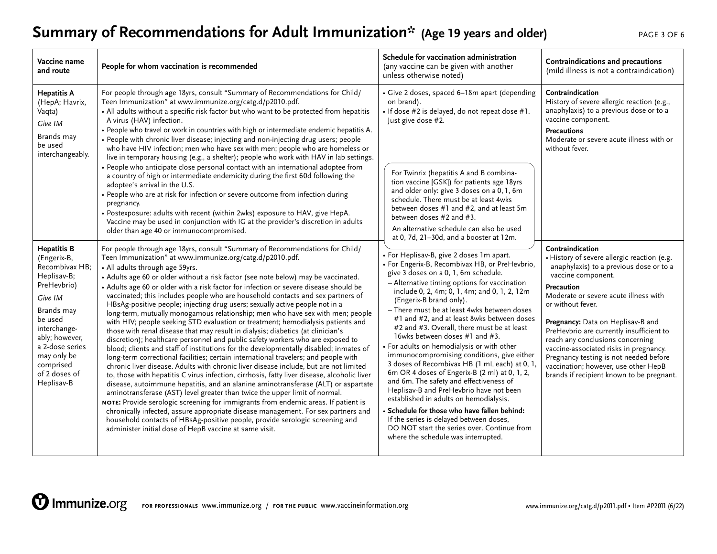### **Summary of Recommendations for Adult Immunization\*** (Age 19 years and older) PAGE 3 OF 6

| Vaccine name<br>and route                                                                                                                                                                                                             | People for whom vaccination is recommended                                                                                                                                                                                                                                                                                                                                                                                                                                                                                                                                                                                                                                                                                                                                                                                                                                                                                                                                                                                                                                                                                                                                                                                                                                                                                                                                                                                                                                                                                                                                                                                                                                                                                              | Schedule for vaccination administration<br>(any vaccine can be given with another<br>unless otherwise noted)                                                                                                                                                                                                                                                                                                                                                                                                                                                                                                                                                                                                                                                                                                                                                                                                                                                                                                                                                                                                                                                                                                                                                                                                                                                                                                                                     | Contraindications and precautions<br>(mild illness is not a contraindication)                                                                                                                                                                                                                                                                                                                                                                                                                              |
|---------------------------------------------------------------------------------------------------------------------------------------------------------------------------------------------------------------------------------------|-----------------------------------------------------------------------------------------------------------------------------------------------------------------------------------------------------------------------------------------------------------------------------------------------------------------------------------------------------------------------------------------------------------------------------------------------------------------------------------------------------------------------------------------------------------------------------------------------------------------------------------------------------------------------------------------------------------------------------------------------------------------------------------------------------------------------------------------------------------------------------------------------------------------------------------------------------------------------------------------------------------------------------------------------------------------------------------------------------------------------------------------------------------------------------------------------------------------------------------------------------------------------------------------------------------------------------------------------------------------------------------------------------------------------------------------------------------------------------------------------------------------------------------------------------------------------------------------------------------------------------------------------------------------------------------------------------------------------------------------|--------------------------------------------------------------------------------------------------------------------------------------------------------------------------------------------------------------------------------------------------------------------------------------------------------------------------------------------------------------------------------------------------------------------------------------------------------------------------------------------------------------------------------------------------------------------------------------------------------------------------------------------------------------------------------------------------------------------------------------------------------------------------------------------------------------------------------------------------------------------------------------------------------------------------------------------------------------------------------------------------------------------------------------------------------------------------------------------------------------------------------------------------------------------------------------------------------------------------------------------------------------------------------------------------------------------------------------------------------------------------------------------------------------------------------------------------|------------------------------------------------------------------------------------------------------------------------------------------------------------------------------------------------------------------------------------------------------------------------------------------------------------------------------------------------------------------------------------------------------------------------------------------------------------------------------------------------------------|
| <b>Hepatitis A</b><br>(HepA; Havrix,<br>Vaqta)<br>Give IM<br>Brands may<br>be used<br>interchangeably.                                                                                                                                | For people through age 18yrs, consult "Summary of Recommendations for Child/<br>Teen Immunization" at www.immunize.org/catg.d/p2010.pdf.<br>• All adults without a specific risk factor but who want to be protected from hepatitis<br>A virus (HAV) infection.<br>• People who travel or work in countries with high or intermediate endemic hepatitis A.<br>• People with chronic liver disease; injecting and non-injecting drug users; people<br>who have HIV infection; men who have sex with men; people who are homeless or<br>live in temporary housing (e.g., a shelter); people who work with HAV in lab settings.<br>• People who anticipate close personal contact with an international adoptee from<br>a country of high or intermediate endemicity during the first 60d following the<br>adoptee's arrival in the U.S.<br>• People who are at risk for infection or severe outcome from infection during<br>pregnancy.<br>• Postexposure: adults with recent (within 2wks) exposure to HAV, give HepA.<br>Vaccine may be used in conjunction with IG at the provider's discretion in adults<br>older than age 40 or immunocompromised.                                                                                                                                                                                                                                                                                                                                                                                                                                                                                                                                                                                   | · Give 2 doses, spaced 6-18m apart (depending<br>on brand).<br>. If dose #2 is delayed, do not repeat dose #1.<br>Just give dose #2.<br>For Twinrix (hepatitis A and B combina-<br>tion vaccine [GSK]) for patients age 18yrs<br>and older only: give 3 doses on a 0, 1, 6m<br>schedule. There must be at least 4wks<br>between doses #1 and #2, and at least 5m<br>between doses #2 and #3.<br>An alternative schedule can also be used<br>at 0, 7d, 21-30d, and a booster at 12m.<br>• For Heplisav-B, give 2 doses 1m apart.<br>• For Engerix-B, Recombivax HB, or PreHevbrio,<br>give 3 doses on a 0, 1, 6m schedule.<br>- Alternative timing options for vaccination<br>include 0, 2, 4m; 0, 1, 4m; and 0, 1, 2, 12m<br>(Engerix-B brand only).<br>- There must be at least 4wks between doses<br>#1 and #2, and at least 8wks between doses<br>#2 and #3. Overall, there must be at least<br>16wks between doses #1 and #3.<br>• For adults on hemodialysis or with other<br>immunocompromising conditions, give either<br>3 doses of Recombivax HB (1 mL each) at 0, 1,<br>6m OR 4 doses of Engerix-B (2 ml) at 0, 1, 2,<br>and 6m. The safety and effectiveness of<br>Heplisav-B and PreHevbrio have not been<br>established in adults on hemodialysis.<br>· Schedule for those who have fallen behind:<br>If the series is delayed between doses,<br>DO NOT start the series over. Continue from<br>where the schedule was interrupted. | Contraindication<br>History of severe allergic reaction (e.g.,<br>anaphylaxis) to a previous dose or to a<br>vaccine component.<br>Precautions<br>Moderate or severe acute illness with or<br>without fever.                                                                                                                                                                                                                                                                                               |
| <b>Hepatitis B</b><br>(Engerix-B,<br>Recombivax HB;<br>Heplisav-B;<br>PreHevbrio)<br>Give IM<br>Brands may<br>be used<br>interchange-<br>ably; however,<br>a 2-dose series<br>may only be<br>comprised<br>of 2 doses of<br>Heplisav-B | For people through age 18yrs, consult "Summary of Recommendations for Child/<br>Teen Immunization" at www.immunize.org/catg.d/p2010.pdf.<br>• All adults through age 59yrs.<br>• Adults age 60 or older without a risk factor (see note below) may be vaccinated.<br>• Adults age 60 or older with a risk factor for infection or severe disease should be<br>vaccinated; this includes people who are household contacts and sex partners of<br>HBsAg-positive people; injecting drug users; sexually active people not in a<br>long-term, mutually monogamous relationship; men who have sex with men; people<br>with HIV; people seeking STD evaluation or treatment; hemodialysis patients and<br>those with renal disease that may result in dialysis; diabetics (at clinician's<br>discretion); healthcare personnel and public safety workers who are exposed to<br>blood; clients and staff of institutions for the developmentally disabled; inmates of<br>long-term correctional facilities; certain international travelers; and people with<br>chronic liver disease. Adults with chronic liver disease include, but are not limited<br>to, those with hepatitis C virus infection, cirrhosis, fatty liver disease, alcoholic liver<br>disease, autoimmune hepatitis, and an alanine aminotransferase (ALT) or aspartate<br>aminotransferase (AST) level greater than twice the upper limit of normal.<br>NOTE: Provide serologic screening for immigrants from endemic areas. If patient is<br>chronically infected, assure appropriate disease management. For sex partners and<br>household contacts of HBsAg-positive people, provide serologic screening and<br>administer initial dose of HepB vaccine at same visit. |                                                                                                                                                                                                                                                                                                                                                                                                                                                                                                                                                                                                                                                                                                                                                                                                                                                                                                                                                                                                                                                                                                                                                                                                                                                                                                                                                                                                                                                  | Contraindication<br>· History of severe allergic reaction (e.g.<br>anaphylaxis) to a previous dose or to a<br>vaccine component.<br>Precaution<br>Moderate or severe acute illness with<br>or without fever.<br>Pregnancy: Data on Heplisav-B and<br>PreHevbrio are currently insufficient to<br>reach any conclusions concerning<br>vaccine-associated risks in pregnancy.<br>Pregnancy testing is not needed before<br>vaccination; however, use other HepB<br>brands if recipient known to be pregnant. |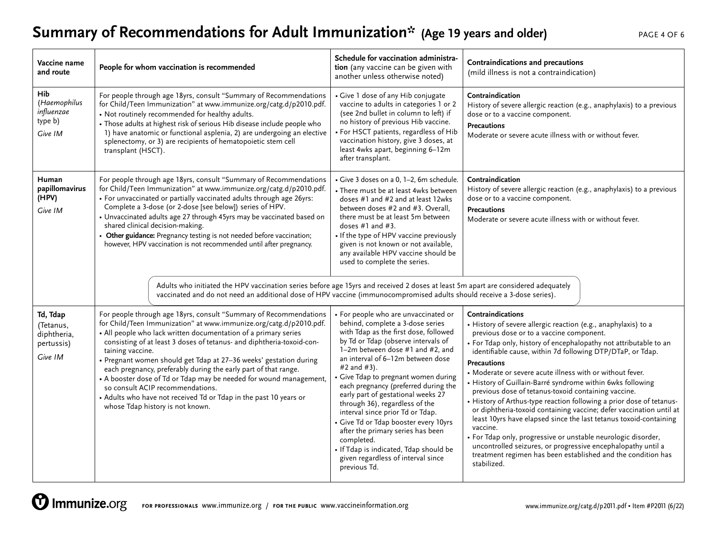# Summary of Recommendations for Adult Immunization\* (Age 19 years and older)

| PAGE 4 OF 6 |  |  |
|-------------|--|--|
|             |  |  |

| Vaccine name<br>and route                                     | People for whom vaccination is recommended                                                                                                                                                                                                                                                                                                                                                                                                                                                                                                                                                                                                                                                                                                                                                              | Schedule for vaccination administra-<br>tion (any vaccine can be given with<br>another unless otherwise noted)                                                                                                                                                                                                                                                                                                                                                                                                                                                                                                                           | Contraindications and precautions<br>(mild illness is not a contraindication)                                                                                                                                                                                                                                                                                                                                                                                                                                                                                                                                                                                                                                                                                                                                                                                                                                              |
|---------------------------------------------------------------|---------------------------------------------------------------------------------------------------------------------------------------------------------------------------------------------------------------------------------------------------------------------------------------------------------------------------------------------------------------------------------------------------------------------------------------------------------------------------------------------------------------------------------------------------------------------------------------------------------------------------------------------------------------------------------------------------------------------------------------------------------------------------------------------------------|------------------------------------------------------------------------------------------------------------------------------------------------------------------------------------------------------------------------------------------------------------------------------------------------------------------------------------------------------------------------------------------------------------------------------------------------------------------------------------------------------------------------------------------------------------------------------------------------------------------------------------------|----------------------------------------------------------------------------------------------------------------------------------------------------------------------------------------------------------------------------------------------------------------------------------------------------------------------------------------------------------------------------------------------------------------------------------------------------------------------------------------------------------------------------------------------------------------------------------------------------------------------------------------------------------------------------------------------------------------------------------------------------------------------------------------------------------------------------------------------------------------------------------------------------------------------------|
| Hib<br>(Haemophilus<br>influenzae<br>type b)<br>Give IM       | For people through age 18yrs, consult "Summary of Recommendations<br>for Child/Teen Immunization" at www.immunize.org/catg.d/p2010.pdf.<br>• Not routinely recommended for healthy adults.<br>• Those adults at highest risk of serious Hib disease include people who<br>1) have anatomic or functional asplenia, 2) are undergoing an elective<br>splenectomy, or 3) are recipients of hematopoietic stem cell<br>transplant (HSCT).                                                                                                                                                                                                                                                                                                                                                                  | • Give 1 dose of any Hib conjugate<br>vaccine to adults in categories 1 or 2<br>(see 2nd bullet in column to left) if<br>no history of previous Hib vaccine.<br>• For HSCT patients, regardless of Hib<br>vaccination history, give 3 doses, at<br>least 4wks apart, beginning 6-12m<br>after transplant.                                                                                                                                                                                                                                                                                                                                | Contraindication<br>History of severe allergic reaction (e.g., anaphylaxis) to a previous<br>dose or to a vaccine component.<br><b>Precautions</b><br>Moderate or severe acute illness with or without fever.                                                                                                                                                                                                                                                                                                                                                                                                                                                                                                                                                                                                                                                                                                              |
| Human<br>papillomavirus<br>(HPV)<br>Give IM                   | For people through age 18yrs, consult "Summary of Recommendations<br>for Child/Teen Immunization" at www.immunize.org/catg.d/p2010.pdf.<br>• For unvaccinated or partially vaccinated adults through age 26yrs:<br>Complete a 3-dose (or 2-dose [see below]) series of HPV.<br>• Unvaccinated adults age 27 through 45yrs may be vaccinated based on<br>shared clinical decision-making.<br>• Other guidance: Pregnancy testing is not needed before vaccination;<br>however, HPV vaccination is not recommended until after pregnancy.<br>Adults who initiated the HPV vaccination series before age 15yrs and received 2 doses at least 5m apart are considered adequately<br>vaccinated and do not need an additional dose of HPV vaccine (immunocompromised adults should receive a 3-dose series). | · Give 3 doses on a 0, 1-2, 6m schedule.<br>• There must be at least 4wks between<br>doses #1 and #2 and at least 12wks<br>between doses #2 and #3. Overall.<br>there must be at least 5m between<br>doses $#1$ and $#3$ .<br>• If the type of HPV vaccine previously<br>given is not known or not available,<br>any available HPV vaccine should be<br>used to complete the series.                                                                                                                                                                                                                                                     | Contraindication<br>History of severe allergic reaction (e.g., anaphylaxis) to a previous<br>dose or to a vaccine component.<br><b>Precautions</b><br>Moderate or severe acute illness with or without fever.                                                                                                                                                                                                                                                                                                                                                                                                                                                                                                                                                                                                                                                                                                              |
| Td, Tdap<br>(Tetanus,<br>diphtheria,<br>pertussis)<br>Give IM | For people through age 18yrs, consult "Summary of Recommendations<br>for Child/Teen Immunization" at www.immunize.org/catg.d/p2010.pdf.<br>• All people who lack written documentation of a primary series<br>consisting of at least 3 doses of tetanus- and diphtheria-toxoid-con-<br>taining vaccine.<br>• Pregnant women should get Tdap at 27-36 weeks' gestation during<br>each pregnancy, preferably during the early part of that range.<br>• A booster dose of Td or Tdap may be needed for wound management,<br>so consult ACIP recommendations.<br>• Adults who have not received Td or Tdap in the past 10 years or<br>whose Tdap history is not known.                                                                                                                                      | • For people who are unvaccinated or<br>behind, complete a 3-dose series<br>with Tdap as the first dose, followed<br>by Td or Tdap (observe intervals of<br>1-2m between dose #1 and #2, and<br>an interval of 6-12m between dose<br>#2 and #3).<br>• Give Tdap to pregnant women during<br>each pregnancy (preferred during the<br>early part of gestational weeks 27<br>through 36), regardless of the<br>interval since prior Td or Tdap.<br>• Give Td or Tdap booster every 10yrs<br>after the primary series has been<br>completed.<br>· If Tdap is indicated, Tdap should be<br>given regardless of interval since<br>previous Td. | Contraindications<br>• History of severe allergic reaction (e.g., anaphylaxis) to a<br>previous dose or to a vaccine component.<br>• For Tdap only, history of encephalopathy not attributable to an<br>identifiable cause, within 7d following DTP/DTaP, or Tdap.<br><b>Precautions</b><br>• Moderate or severe acute illness with or without fever.<br>• History of Guillain-Barré syndrome within 6wks following<br>previous dose of tetanus-toxoid containing vaccine.<br>• History of Arthus-type reaction following a prior dose of tetanus-<br>or diphtheria-toxoid containing vaccine; defer vaccination until at<br>least 10yrs have elapsed since the last tetanus toxoid-containing<br>vaccine.<br>· For Tdap only, progressive or unstable neurologic disorder,<br>uncontrolled seizures, or progressive encephalopathy until a<br>treatment regimen has been established and the condition has<br>stabilized. |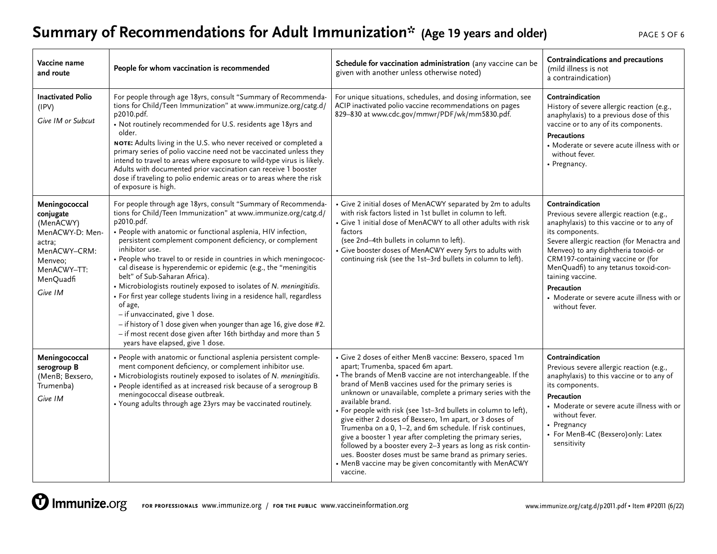# **Summary of Recommendations for Adult Immunization\*** (Age 19 years and older) PAGE 5 OF 6

| Vaccine name<br>and route                                                                                                              | People for whom vaccination is recommended                                                                                                                                                                                                                                                                                                                                                                                                                                                                                                                                                                                                                                                                                                                                                                                                             | Schedule for vaccination administration (any vaccine can be<br>given with another unless otherwise noted)                                                                                                                                                                                                                                                                                                                                                                                                                                                                                                                                                                                                                                                             | Contraindications and precautions<br>(mild illness is not<br>a contraindication)                                                                                                                                                                                                                                                                                                                   |
|----------------------------------------------------------------------------------------------------------------------------------------|--------------------------------------------------------------------------------------------------------------------------------------------------------------------------------------------------------------------------------------------------------------------------------------------------------------------------------------------------------------------------------------------------------------------------------------------------------------------------------------------------------------------------------------------------------------------------------------------------------------------------------------------------------------------------------------------------------------------------------------------------------------------------------------------------------------------------------------------------------|-----------------------------------------------------------------------------------------------------------------------------------------------------------------------------------------------------------------------------------------------------------------------------------------------------------------------------------------------------------------------------------------------------------------------------------------------------------------------------------------------------------------------------------------------------------------------------------------------------------------------------------------------------------------------------------------------------------------------------------------------------------------------|----------------------------------------------------------------------------------------------------------------------------------------------------------------------------------------------------------------------------------------------------------------------------------------------------------------------------------------------------------------------------------------------------|
| <b>Inactivated Polio</b><br>(IPV)<br>Give IM or Subcut                                                                                 | For people through age 18yrs, consult "Summary of Recommenda-<br>tions for Child/Teen Immunization" at www.immunize.org/catg.d/<br>p2010.pdf.<br>• Not routinely recommended for U.S. residents age 18yrs and<br>older.<br>NOTE: Adults living in the U.S. who never received or completed a<br>primary series of polio vaccine need not be vaccinated unless they<br>intend to travel to areas where exposure to wild-type virus is likely.<br>Adults with documented prior vaccination can receive 1 booster<br>dose if traveling to polio endemic areas or to areas where the risk<br>of exposure is high.                                                                                                                                                                                                                                          | For unique situations, schedules, and dosing information, see<br>ACIP inactivated polio vaccine recommendations on pages<br>829-830 at www.cdc.gov/mmwr/PDF/wk/mm5830.pdf.                                                                                                                                                                                                                                                                                                                                                                                                                                                                                                                                                                                            | Contraindication<br>History of severe allergic reaction (e.g.,<br>anaphylaxis) to a previous dose of this<br>vaccine or to any of its components.<br><b>Precautions</b><br>• Moderate or severe acute illness with or<br>without fever.<br>• Pregnancy.                                                                                                                                            |
| Meningococcal<br>conjugate<br>(MenACWY)<br>MenACWY-D: Men-<br>actra;<br>MenACWY-CRM:<br>Menveo;<br>MenACWY-TT:<br>MenQuadfi<br>Give IM | For people through age 18yrs, consult "Summary of Recommenda-<br>tions for Child/Teen Immunization" at www.immunize.org/catg.d/<br>p2010.pdf.<br>• People with anatomic or functional asplenia, HIV infection,<br>persistent complement component deficiency, or complement<br>inhibitor use.<br>• People who travel to or reside in countries in which meningococ-<br>cal disease is hyperendemic or epidemic (e.g., the "meningitis<br>belt" of Sub-Saharan Africa).<br>• Microbiologists routinely exposed to isolates of N. meningitidis.<br>• For first year college students living in a residence hall, regardless<br>of age,<br>- if unvaccinated, give 1 dose.<br>- if history of 1 dose given when younger than age 16, give dose #2.<br>- if most recent dose given after 16th birthday and more than 5<br>years have elapsed, give 1 dose. | • Give 2 initial doses of MenACWY separated by 2m to adults<br>with risk factors listed in 1st bullet in column to left.<br>• Give 1 initial dose of MenACWY to all other adults with risk<br>factors<br>(see 2nd-4th bullets in column to left).<br>• Give booster doses of MenACWY every 5yrs to adults with<br>continuing risk (see the 1st-3rd bullets in column to left).                                                                                                                                                                                                                                                                                                                                                                                        | Contraindication<br>Previous severe allergic reaction (e.g.,<br>anaphylaxis) to this vaccine or to any of<br>its components.<br>Severe allergic reaction (for Menactra and<br>Menveo) to any diphtheria toxoid- or<br>CRM197-containing vaccine or (for<br>MenQuadfi) to any tetanus toxoid-con-<br>taining vaccine.<br>Precaution<br>• Moderate or severe acute illness with or<br>without fever. |
| Meningococcal<br>serogroup B<br>(MenB; Bexsero,<br>Trumenba)<br>Give IM                                                                | • People with anatomic or functional asplenia persistent comple-<br>ment component deficiency, or complement inhibitor use.<br>• Microbiologists routinely exposed to isolates of N. meningitidis.<br>• People identified as at increased risk because of a serogroup B<br>meningococcal disease outbreak.<br>• Young adults through age 23yrs may be vaccinated routinely.                                                                                                                                                                                                                                                                                                                                                                                                                                                                            | • Give 2 doses of either MenB vaccine: Bexsero, spaced 1m<br>apart; Trumenba, spaced 6m apart.<br>• The brands of MenB vaccine are not interchangeable. If the<br>brand of MenB vaccines used for the primary series is<br>unknown or unavailable, complete a primary series with the<br>available brand.<br>• For people with risk (see 1st-3rd bullets in column to left),<br>give either 2 doses of Bexsero, 1m apart, or 3 doses of<br>Trumenba on a 0, 1-2, and 6m schedule. If risk continues,<br>give a booster 1 year after completing the primary series,<br>followed by a booster every 2-3 years as long as risk contin-<br>ues. Booster doses must be same brand as primary series.<br>• MenB vaccine may be given concomitantly with MenACWY<br>vaccine. | Contraindication<br>Previous severe allergic reaction (e.g.,<br>anaphylaxis) to this vaccine or to any of<br>its components.<br>Precaution<br>• Moderate or severe acute illness with or<br>without fever.<br>• Pregnancy<br>• For MenB-4C (Bexsero) only: Latex<br>sensitivity                                                                                                                    |